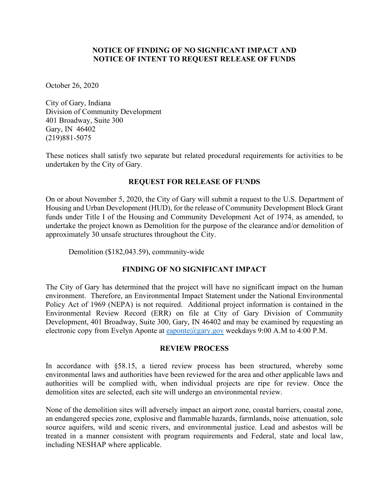## **NOTICE OF FINDING OF NO SIGNFICANT IMPACT AND NOTICE OF INTENT TO REQUEST RELEASE OF FUNDS**

October 26, 2020

City of Gary, Indiana Division of Community Development 401 Broadway, Suite 300 Gary, IN 46402 (219)881-5075

These notices shall satisfy two separate but related procedural requirements for activities to be undertaken by the City of Gary*.*

# **REQUEST FOR RELEASE OF FUNDS**

On or about November 5, 2020, the City of Gary will submit a request to the U.S. Department of Housing and Urban Development (HUD), for the release of Community Development Block Grant funds under Title I of the Housing and Community Development Act of 1974, as amended, to undertake the project known as Demolition for the purpose of the clearance and/or demolition of approximately 30 unsafe structures throughout the City.

Demolition (\$182,043.59), community-wide

# **FINDING OF NO SIGNIFICANT IMPACT**

The City of Gary has determined that the project will have no significant impact on the human environment. Therefore, an Environmental Impact Statement under the National Environmental Policy Act of 1969 (NEPA) is not required. Additional project information is contained in the Environmental Review Record (ERR) on file at City of Gary Division of Community Development, 401 Broadway, Suite 300, Gary, IN 46402 and may be examined by requesting an electronic copy from Evelyn Aponte at [eaponte@gary.gov](mailto:eaponte@gary.gov) weekdays  $9:00$  A.M to  $4:00$  P.M.

### **REVIEW PROCESS**

In accordance with §58.15, a tiered review process has been structured, whereby some environmental laws and authorities have been reviewed for the area and other applicable laws and authorities will be complied with, when individual projects are ripe for review. Once the demolition sites are selected, each site will undergo an environmental review.

None of the demolition sites will adversely impact an airport zone, coastal barriers, coastal zone, an endangered species zone, explosive and flammable hazards, farmlands, noise attenuation, sole source aquifers, wild and scenic rivers, and environmental justice. Lead and asbestos will be treated in a manner consistent with program requirements and Federal, state and local law, including NESHAP where applicable.